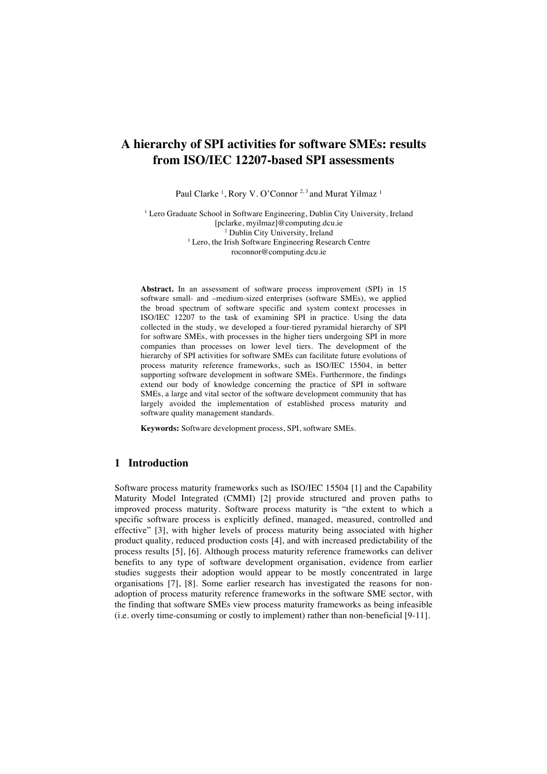# **A hierarchy of SPI activities for software SMEs: results from ISO/IEC 12207-based SPI assessments**

Paul Clarke <sup>1</sup>, Rory V. O'Connor <sup>2, 3</sup> and Murat Yilmaz <sup>1</sup>

<sup>1</sup> Lero Graduate School in Software Engineering, Dublin City University, Ireland [pclarke, myilmaz]@computing.dcu.ie <sup>2</sup> Dublin City University, Ireland <sup>3</sup> Lero, the Irish Software Engineering Research Centre roconnor@computing.dcu.ie

**Abstract.** In an assessment of software process improvement (SPI) in 15 software small- and –medium-sized enterprises (software SMEs), we applied the broad spectrum of software specific and system context processes in ISO/IEC 12207 to the task of examining SPI in practice. Using the data collected in the study, we developed a four-tiered pyramidal hierarchy of SPI for software SMEs, with processes in the higher tiers undergoing SPI in more companies than processes on lower level tiers. The development of the hierarchy of SPI activities for software SMEs can facilitate future evolutions of process maturity reference frameworks, such as ISO/IEC 15504, in better supporting software development in software SMEs. Furthermore, the findings extend our body of knowledge concerning the practice of SPI in software SMEs, a large and vital sector of the software development community that has largely avoided the implementation of established process maturity and software quality management standards.

**Keywords:** Software development process, SPI, software SMEs.

## **1 Introduction**

Software process maturity frameworks such as ISO/IEC 15504 [1] and the Capability Maturity Model Integrated (CMMI) [2] provide structured and proven paths to improved process maturity. Software process maturity is "the extent to which a specific software process is explicitly defined, managed, measured, controlled and effective" [3], with higher levels of process maturity being associated with higher product quality, reduced production costs [4], and with increased predictability of the process results [5], [6]. Although process maturity reference frameworks can deliver benefits to any type of software development organisation, evidence from earlier studies suggests their adoption would appear to be mostly concentrated in large organisations [7], [8]. Some earlier research has investigated the reasons for nonadoption of process maturity reference frameworks in the software SME sector, with the finding that software SMEs view process maturity frameworks as being infeasible (i.e. overly time-consuming or costly to implement) rather than non-beneficial [9-11].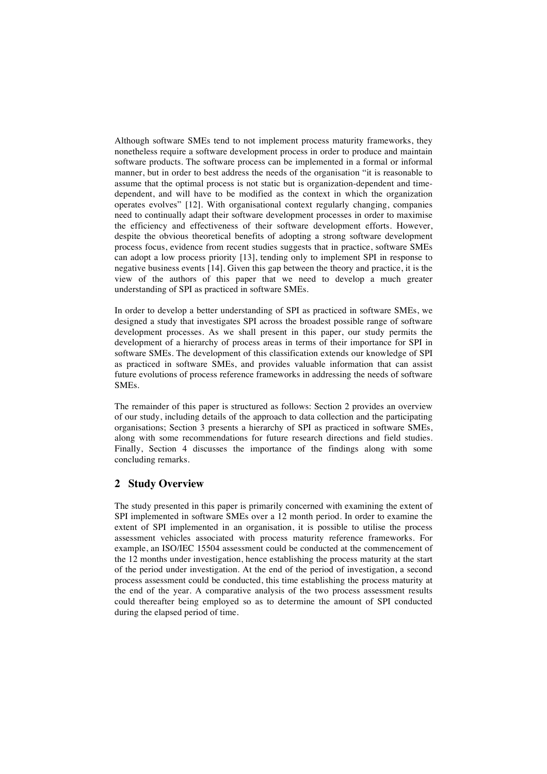Although software SMEs tend to not implement process maturity frameworks, they nonetheless require a software development process in order to produce and maintain software products. The software process can be implemented in a formal or informal manner, but in order to best address the needs of the organisation "it is reasonable to assume that the optimal process is not static but is organization-dependent and timedependent, and will have to be modified as the context in which the organization operates evolves" [12]. With organisational context regularly changing, companies need to continually adapt their software development processes in order to maximise the efficiency and effectiveness of their software development efforts. However, despite the obvious theoretical benefits of adopting a strong software development process focus, evidence from recent studies suggests that in practice, software SMEs can adopt a low process priority [13], tending only to implement SPI in response to negative business events [14]. Given this gap between the theory and practice, it is the view of the authors of this paper that we need to develop a much greater understanding of SPI as practiced in software SMEs.

In order to develop a better understanding of SPI as practiced in software SMEs, we designed a study that investigates SPI across the broadest possible range of software development processes. As we shall present in this paper, our study permits the development of a hierarchy of process areas in terms of their importance for SPI in software SMEs. The development of this classification extends our knowledge of SPI as practiced in software SMEs, and provides valuable information that can assist future evolutions of process reference frameworks in addressing the needs of software SMEs.

The remainder of this paper is structured as follows: Section 2 provides an overview of our study, including details of the approach to data collection and the participating organisations; Section 3 presents a hierarchy of SPI as practiced in software SMEs, along with some recommendations for future research directions and field studies. Finally, Section 4 discusses the importance of the findings along with some concluding remarks.

### **2 Study Overview**

The study presented in this paper is primarily concerned with examining the extent of SPI implemented in software SMEs over a 12 month period. In order to examine the extent of SPI implemented in an organisation, it is possible to utilise the process assessment vehicles associated with process maturity reference frameworks. For example, an ISO/IEC 15504 assessment could be conducted at the commencement of the 12 months under investigation, hence establishing the process maturity at the start of the period under investigation. At the end of the period of investigation, a second process assessment could be conducted, this time establishing the process maturity at the end of the year. A comparative analysis of the two process assessment results could thereafter being employed so as to determine the amount of SPI conducted during the elapsed period of time.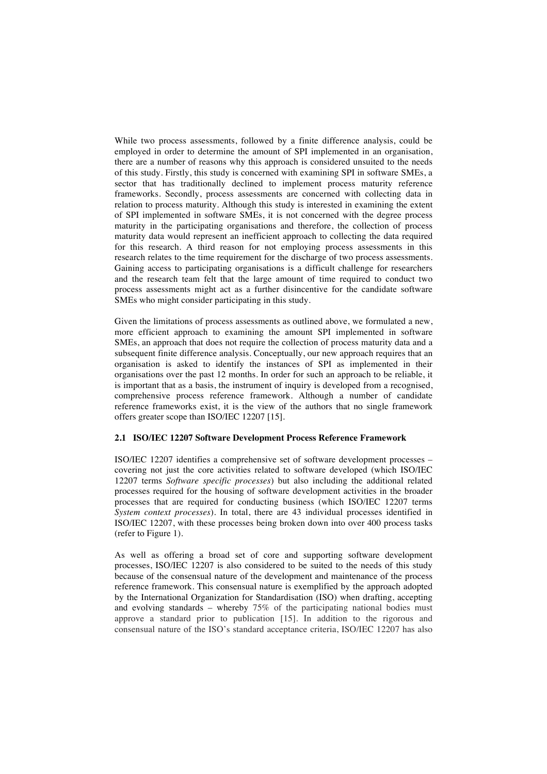While two process assessments, followed by a finite difference analysis, could be employed in order to determine the amount of SPI implemented in an organisation, there are a number of reasons why this approach is considered unsuited to the needs of this study. Firstly, this study is concerned with examining SPI in software SMEs, a sector that has traditionally declined to implement process maturity reference frameworks. Secondly, process assessments are concerned with collecting data in relation to process maturity. Although this study is interested in examining the extent of SPI implemented in software SMEs, it is not concerned with the degree process maturity in the participating organisations and therefore, the collection of process maturity data would represent an inefficient approach to collecting the data required for this research. A third reason for not employing process assessments in this research relates to the time requirement for the discharge of two process assessments. Gaining access to participating organisations is a difficult challenge for researchers and the research team felt that the large amount of time required to conduct two process assessments might act as a further disincentive for the candidate software SMEs who might consider participating in this study.

Given the limitations of process assessments as outlined above, we formulated a new, more efficient approach to examining the amount SPI implemented in software SMEs, an approach that does not require the collection of process maturity data and a subsequent finite difference analysis. Conceptually, our new approach requires that an organisation is asked to identify the instances of SPI as implemented in their organisations over the past 12 months. In order for such an approach to be reliable, it is important that as a basis, the instrument of inquiry is developed from a recognised, comprehensive process reference framework. Although a number of candidate reference frameworks exist, it is the view of the authors that no single framework offers greater scope than ISO/IEC 12207 [15].

### **2.1 ISO/IEC 12207 Software Development Process Reference Framework**

ISO/IEC 12207 identifies a comprehensive set of software development processes – covering not just the core activities related to software developed (which ISO/IEC 12207 terms *Software specific processes*) but also including the additional related processes required for the housing of software development activities in the broader processes that are required for conducting business (which ISO/IEC 12207 terms *System context processes*)*.* In total, there are 43 individual processes identified in ISO/IEC 12207, with these processes being broken down into over 400 process tasks (refer to Figure 1).

As well as offering a broad set of core and supporting software development processes, ISO/IEC 12207 is also considered to be suited to the needs of this study because of the consensual nature of the development and maintenance of the process reference framework. This consensual nature is exemplified by the approach adopted by the International Organization for Standardisation (ISO) when drafting, accepting and evolving standards – whereby 75% of the participating national bodies must approve a standard prior to publication [15]. In addition to the rigorous and consensual nature of the ISO's standard acceptance criteria, ISO/IEC 12207 has also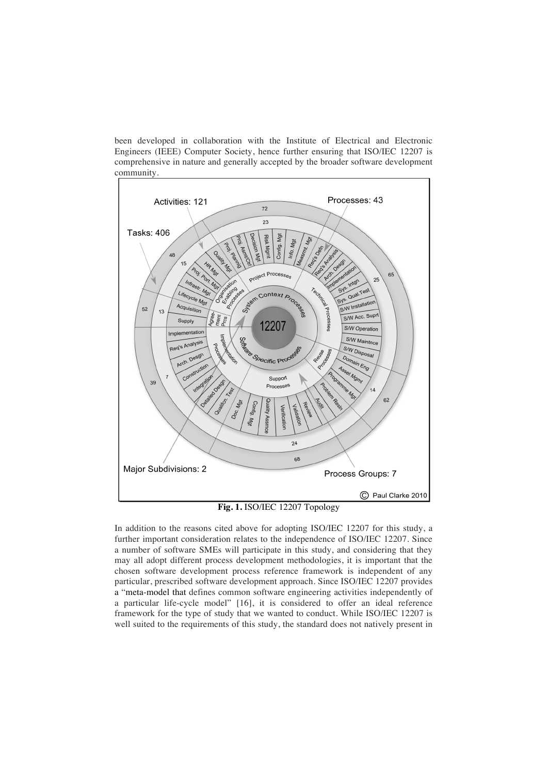been developed in collaboration with the Institute of Electrical and Electronic Engineers (IEEE) Computer Society, hence further ensuring that ISO/IEC 12207 is comprehensive in nature and generally accepted by the broader software development community.



**Fig. 1.** ISO/IEC 12207 Topology

In addition to the reasons cited above for adopting ISO/IEC 12207 for this study, a further important consideration relates to the independence of ISO/IEC 12207. Since a number of software SMEs will participate in this study, and considering that they may all adopt different process development methodologies, it is important that the chosen software development process reference framework is independent of any particular, prescribed software development approach. Since ISO/IEC 12207 provides a "meta-model that defines common software engineering activities independently of a particular life-cycle model" [16], it is considered to offer an ideal reference framework for the type of study that we wanted to conduct. While ISO/IEC 12207 is well suited to the requirements of this study, the standard does not natively present in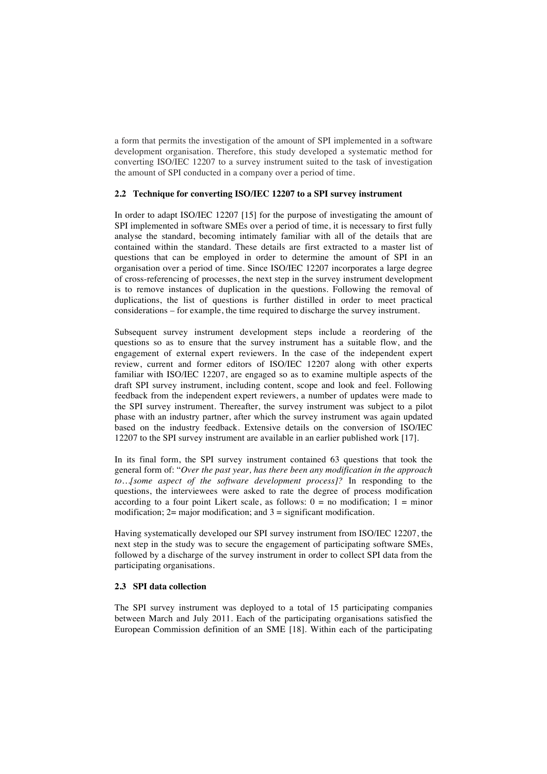a form that permits the investigation of the amount of SPI implemented in a software development organisation. Therefore, this study developed a systematic method for converting ISO/IEC 12207 to a survey instrument suited to the task of investigation the amount of SPI conducted in a company over a period of time.

#### **2.2 Technique for converting ISO/IEC 12207 to a SPI survey instrument**

In order to adapt ISO/IEC 12207 [15] for the purpose of investigating the amount of SPI implemented in software SMEs over a period of time, it is necessary to first fully analyse the standard, becoming intimately familiar with all of the details that are contained within the standard. These details are first extracted to a master list of questions that can be employed in order to determine the amount of SPI in an organisation over a period of time. Since ISO/IEC 12207 incorporates a large degree of cross-referencing of processes, the next step in the survey instrument development is to remove instances of duplication in the questions. Following the removal of duplications, the list of questions is further distilled in order to meet practical considerations – for example, the time required to discharge the survey instrument.

Subsequent survey instrument development steps include a reordering of the questions so as to ensure that the survey instrument has a suitable flow, and the engagement of external expert reviewers. In the case of the independent expert review, current and former editors of ISO/IEC 12207 along with other experts familiar with ISO/IEC 12207, are engaged so as to examine multiple aspects of the draft SPI survey instrument, including content, scope and look and feel. Following feedback from the independent expert reviewers, a number of updates were made to the SPI survey instrument. Thereafter, the survey instrument was subject to a pilot phase with an industry partner, after which the survey instrument was again updated based on the industry feedback. Extensive details on the conversion of ISO/IEC 12207 to the SPI survey instrument are available in an earlier published work [17].

In its final form, the SPI survey instrument contained 63 questions that took the general form of: "*Over the past year, has there been any modification in the approach to…[some aspect of the software development process]?* In responding to the questions, the interviewees were asked to rate the degree of process modification according to a four point Likert scale, as follows:  $0 =$  no modification;  $1 =$  minor modification;  $2=$  major modification; and  $3=$  significant modification.

Having systematically developed our SPI survey instrument from ISO/IEC 12207, the next step in the study was to secure the engagement of participating software SMEs, followed by a discharge of the survey instrument in order to collect SPI data from the participating organisations.

### **2.3 SPI data collection**

The SPI survey instrument was deployed to a total of 15 participating companies between March and July 2011. Each of the participating organisations satisfied the European Commission definition of an SME [18]. Within each of the participating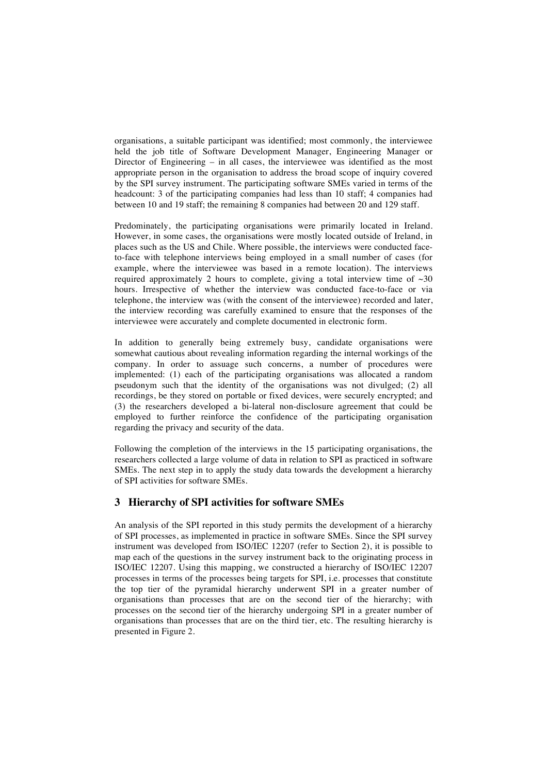organisations, a suitable participant was identified; most commonly, the interviewee held the job title of Software Development Manager, Engineering Manager or Director of Engineering – in all cases, the interviewee was identified as the most appropriate person in the organisation to address the broad scope of inquiry covered by the SPI survey instrument. The participating software SMEs varied in terms of the headcount: 3 of the participating companies had less than 10 staff; 4 companies had between 10 and 19 staff; the remaining 8 companies had between 20 and 129 staff.

Predominately, the participating organisations were primarily located in Ireland. However, in some cases, the organisations were mostly located outside of Ireland, in places such as the US and Chile. Where possible, the interviews were conducted faceto-face with telephone interviews being employed in a small number of cases (for example, where the interviewee was based in a remote location). The interviews required approximately 2 hours to complete, giving a total interview time of  $\sim 30$ hours. Irrespective of whether the interview was conducted face-to-face or via telephone, the interview was (with the consent of the interviewee) recorded and later, the interview recording was carefully examined to ensure that the responses of the interviewee were accurately and complete documented in electronic form.

In addition to generally being extremely busy, candidate organisations were somewhat cautious about revealing information regarding the internal workings of the company. In order to assuage such concerns, a number of procedures were implemented: (1) each of the participating organisations was allocated a random pseudonym such that the identity of the organisations was not divulged; (2) all recordings, be they stored on portable or fixed devices, were securely encrypted; and (3) the researchers developed a bi-lateral non-disclosure agreement that could be employed to further reinforce the confidence of the participating organisation regarding the privacy and security of the data.

Following the completion of the interviews in the 15 participating organisations, the researchers collected a large volume of data in relation to SPI as practiced in software SMEs. The next step in to apply the study data towards the development a hierarchy of SPI activities for software SMEs.

# **3 Hierarchy of SPI activities for software SMEs**

An analysis of the SPI reported in this study permits the development of a hierarchy of SPI processes, as implemented in practice in software SMEs. Since the SPI survey instrument was developed from ISO/IEC 12207 (refer to Section 2), it is possible to map each of the questions in the survey instrument back to the originating process in ISO/IEC 12207. Using this mapping, we constructed a hierarchy of ISO/IEC 12207 processes in terms of the processes being targets for SPI, i.e. processes that constitute the top tier of the pyramidal hierarchy underwent SPI in a greater number of organisations than processes that are on the second tier of the hierarchy; with processes on the second tier of the hierarchy undergoing SPI in a greater number of organisations than processes that are on the third tier, etc. The resulting hierarchy is presented in Figure 2.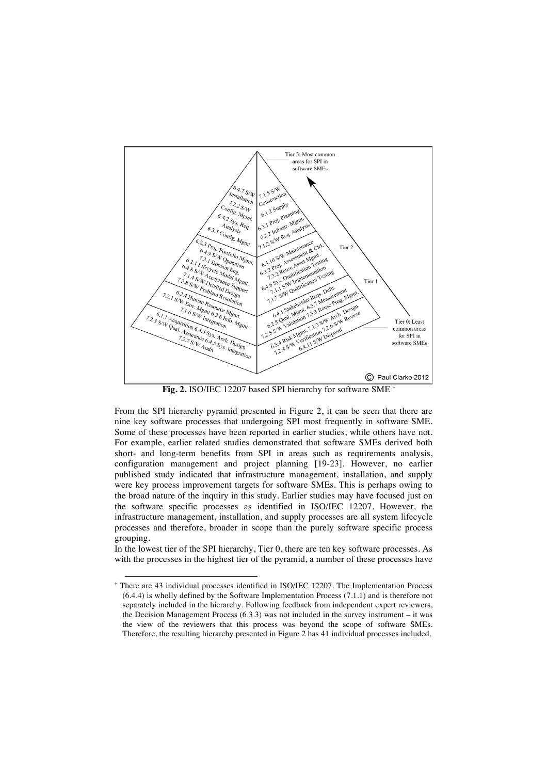

**Fig. 2.** ISO/IEC 12207 based SPI hierarchy for software SME †

From the SPI hierarchy pyramid presented in Figure 2, it can be seen that there are nine key software processes that undergoing SPI most frequently in software SME. Some of these processes have been reported in earlier studies, while others have not. For example, earlier related studies demonstrated that software SMEs derived both short- and long-term benefits from SPI in areas such as requirements analysis, configuration management and project planning [19-23]. However, no earlier published study indicated that infrastructure management, installation, and supply were key process improvement targets for software SMEs. This is perhaps owing to the broad nature of the inquiry in this study. Earlier studies may have focused just on the software specific processes as identified in ISO/IEC 12207. However, the infrastructure management, installation, and supply processes are all system lifecycle processes and therefore, broader in scope than the purely software specific process grouping.

In the lowest tier of the SPI hierarchy, Tier 0, there are ten key software processes. As with the processes in the highest tier of the pyramid, a number of these processes have

 <sup>†</sup> There are 43 individual processes identified in ISO/IEC 12207. The Implementation Process (6.4.4) is wholly defined by the Software Implementation Process (7.1.1) and is therefore not separately included in the hierarchy. Following feedback from independent expert reviewers, the Decision Management Process  $(6.3.3)$  was not included in the survey instrument – it was the view of the reviewers that this process was beyond the scope of software SMEs. Therefore, the resulting hierarchy presented in Figure 2 has 41 individual processes included.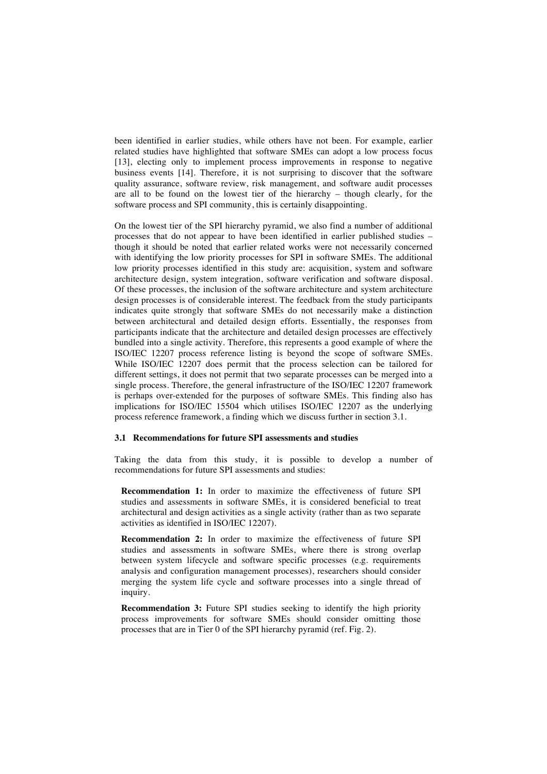been identified in earlier studies, while others have not been. For example, earlier related studies have highlighted that software SMEs can adopt a low process focus [13], electing only to implement process improvements in response to negative business events [14]. Therefore, it is not surprising to discover that the software quality assurance, software review, risk management, and software audit processes are all to be found on the lowest tier of the hierarchy – though clearly, for the software process and SPI community, this is certainly disappointing.

On the lowest tier of the SPI hierarchy pyramid, we also find a number of additional processes that do not appear to have been identified in earlier published studies – though it should be noted that earlier related works were not necessarily concerned with identifying the low priority processes for SPI in software SMEs. The additional low priority processes identified in this study are: acquisition, system and software architecture design, system integration, software verification and software disposal. Of these processes, the inclusion of the software architecture and system architecture design processes is of considerable interest. The feedback from the study participants indicates quite strongly that software SMEs do not necessarily make a distinction between architectural and detailed design efforts. Essentially, the responses from participants indicate that the architecture and detailed design processes are effectively bundled into a single activity. Therefore, this represents a good example of where the ISO/IEC 12207 process reference listing is beyond the scope of software SMEs. While ISO/IEC 12207 does permit that the process selection can be tailored for different settings, it does not permit that two separate processes can be merged into a single process. Therefore, the general infrastructure of the ISO/IEC 12207 framework is perhaps over-extended for the purposes of software SMEs. This finding also has implications for ISO/IEC 15504 which utilises ISO/IEC 12207 as the underlying process reference framework, a finding which we discuss further in section 3.1.

### **3.1 Recommendations for future SPI assessments and studies**

Taking the data from this study, it is possible to develop a number of recommendations for future SPI assessments and studies:

**Recommendation 1:** In order to maximize the effectiveness of future SPI studies and assessments in software SMEs, it is considered beneficial to treat architectural and design activities as a single activity (rather than as two separate activities as identified in ISO/IEC 12207).

**Recommendation 2:** In order to maximize the effectiveness of future SPI studies and assessments in software SMEs, where there is strong overlap between system lifecycle and software specific processes (e.g. requirements analysis and configuration management processes), researchers should consider merging the system life cycle and software processes into a single thread of inquiry.

**Recommendation 3:** Future SPI studies seeking to identify the high priority process improvements for software SMEs should consider omitting those processes that are in Tier 0 of the SPI hierarchy pyramid (ref. Fig. 2).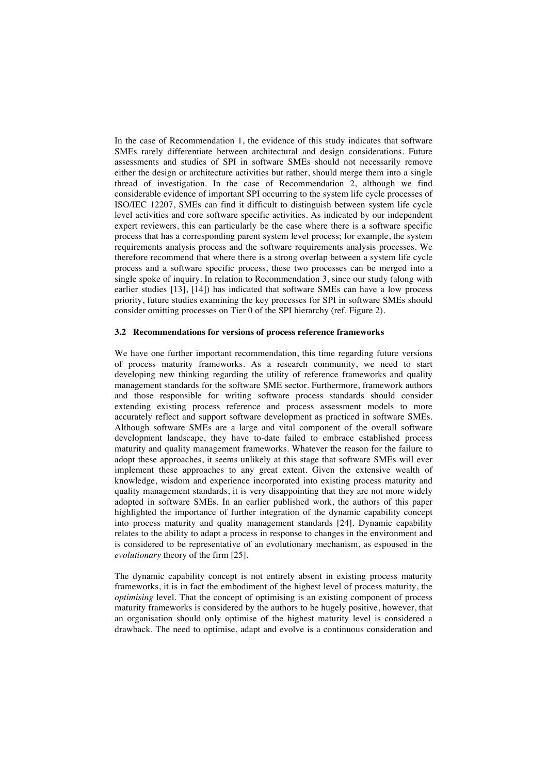In the case of Recommendation 1, the evidence of this study indicates that software SMEs rarely differentiate between architectural and design considerations. Future assessments and studies of SPI in software SMEs should not necessarily remove either the design or architecture activities but rather, should merge them into a single thread of investigation. In the case of Recommendation 2, although we find considerable evidence of important SPI occurring to the system life cycle processes of ISO/IEC 12207, SMEs can find it difficult to distinguish between system life cycle level activities and core software specific activities. As indicated by our independent expert reviewers, this can particularly be the case where there is a software specific process that has a corresponding parent system level process; for example, the system requirements analysis process and the software requirements analysis processes. We therefore recommend that where there is a strong overlap between a system life cycle process and a software specific process, these two processes can be merged into a single spoke of inquiry. In relation to Recommendation 3, since our study (along with earlier studies [13], [14]) has indicated that software SMEs can have a low process priority, future studies examining the key processes for SPI in software SMEs should consider omitting processes on Tier 0 of the SPI hierarchy (ref. Figure 2).

#### **3.2 Recommendations for versions of process reference frameworks**

We have one further important recommendation, this time regarding future versions of process maturity frameworks. As a research community, we need to start developing new thinking regarding the utility of reference frameworks and quality management standards for the software SME sector. Furthermore, framework authors and those responsible for writing software process standards should consider extending existing process reference and process assessment models to more accurately reflect and support software development as practiced in software SMEs. Although software SMEs are a large and vital component of the overall software development landscape, they have to-date failed to embrace established process maturity and quality management frameworks. Whatever the reason for the failure to adopt these approaches, it seems unlikely at this stage that software SMEs will ever implement these approaches to any great extent. Given the extensive wealth of knowledge, wisdom and experience incorporated into existing process maturity and quality management standards, it is very disappointing that they are not more widely adopted in software SMEs. In an earlier published work, the authors of this paper highlighted the importance of further integration of the dynamic capability concept into process maturity and quality management standards [24]. Dynamic capability relates to the ability to adapt a process in response to changes in the environment and is considered to be representative of an evolutionary mechanism, as espoused in the *evolutionary* theory of the firm [25].

The dynamic capability concept is not entirely absent in existing process maturity frameworks, it is in fact the embodiment of the highest level of process maturity, the *optimising* level. That the concept of optimising is an existing component of process maturity frameworks is considered by the authors to be hugely positive, however, that an organisation should only optimise of the highest maturity level is considered a drawback. The need to optimise, adapt and evolve is a continuous consideration and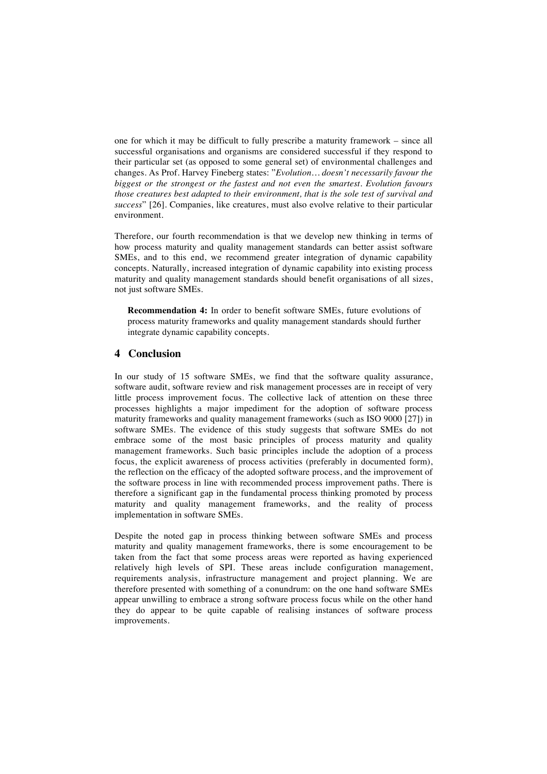one for which it may be difficult to fully prescribe a maturity framework – since all successful organisations and organisms are considered successful if they respond to their particular set (as opposed to some general set) of environmental challenges and changes. As Prof. Harvey Fineberg states: "*Evolution… doesn't necessarily favour the biggest or the strongest or the fastest and not even the smartest. Evolution favours those creatures best adapted to their environment, that is the sole test of survival and success*" [26]. Companies, like creatures, must also evolve relative to their particular environment.

Therefore, our fourth recommendation is that we develop new thinking in terms of how process maturity and quality management standards can better assist software SMEs, and to this end, we recommend greater integration of dynamic capability concepts. Naturally, increased integration of dynamic capability into existing process maturity and quality management standards should benefit organisations of all sizes, not just software SMEs.

**Recommendation 4:** In order to benefit software SMEs, future evolutions of process maturity frameworks and quality management standards should further integrate dynamic capability concepts.

# **4 Conclusion**

In our study of 15 software SMEs, we find that the software quality assurance, software audit, software review and risk management processes are in receipt of very little process improvement focus. The collective lack of attention on these three processes highlights a major impediment for the adoption of software process maturity frameworks and quality management frameworks (such as ISO 9000 [27]) in software SMEs. The evidence of this study suggests that software SMEs do not embrace some of the most basic principles of process maturity and quality management frameworks. Such basic principles include the adoption of a process focus, the explicit awareness of process activities (preferably in documented form), the reflection on the efficacy of the adopted software process, and the improvement of the software process in line with recommended process improvement paths. There is therefore a significant gap in the fundamental process thinking promoted by process maturity and quality management frameworks, and the reality of process implementation in software SMEs.

Despite the noted gap in process thinking between software SMEs and process maturity and quality management frameworks, there is some encouragement to be taken from the fact that some process areas were reported as having experienced relatively high levels of SPI. These areas include configuration management, requirements analysis, infrastructure management and project planning. We are therefore presented with something of a conundrum: on the one hand software SMEs appear unwilling to embrace a strong software process focus while on the other hand they do appear to be quite capable of realising instances of software process improvements.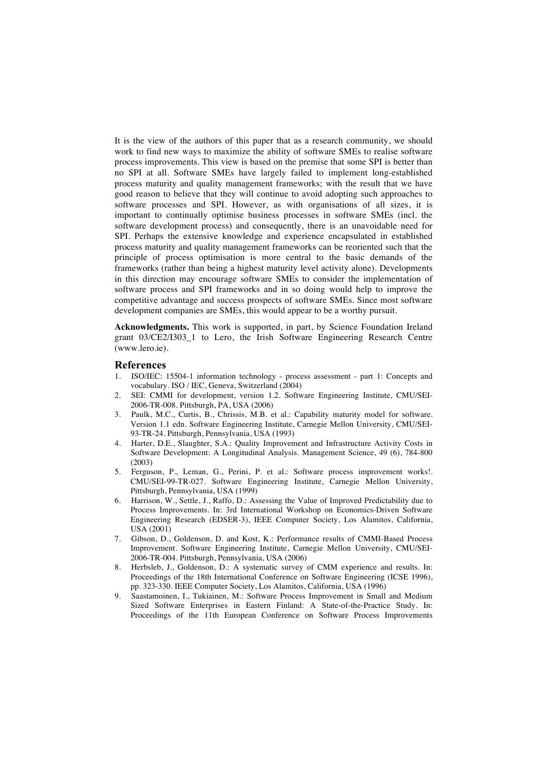It is the view of the authors of this paper that as a research community, we should work to find new ways to maximize the ability of software SMEs to realise software process improvements. This view is based on the premise that some SPI is better than no SPI at all. Software SMEs have largely failed to implement long-established process maturity and quality management frameworks; with the result that we have good reason to believe that they will continue to avoid adopting such approaches to software processes and SPI. However, as with organisations of all sizes, it is important to continually optimise business processes in software SMEs (incl. the software development process) and consequently, there is an unavoidable need for SPI. Perhaps the extensive knowledge and experience encapsulated in established process maturity and quality management frameworks can be reoriented such that the principle of process optimisation is more central to the basic demands of the frameworks (rather than being a highest maturity level activity alone). Developments in this direction may encourage software SMEs to consider the implementation of software process and SPI frameworks and in so doing would help to improve the competitive advantage and success prospects of software SMEs. Since most software development companies are SMEs, this would appear to be a worthy pursuit.

**Acknowledgments.** This work is supported, in part, by Science Foundation Ireland grant 03/CE2/I303\_1 to Lero, the Irish Software Engineering Research Centre (www.lero.ie).

### **References**

- 1. ISO/IEC: 15504-1 information technology process assessment part 1: Concepts and vocabulary. ISO / IEC, Geneva, Switzerland (2004)
- 2. SEI: CMMI for development, version 1.2. Software Engineering Institute, CMU/SEI-2006-TR-008. Pittsburgh, PA, USA (2006)
- 3. Paulk, M.C., Curtis, B., Chrissis, M.B. et al.: Capability maturity model for software. Version 1.1 edn. Software Engineering Institute, Carnegie Mellon University, CMU/SEI-93-TR-24. Pittsburgh, Pennsylvania, USA (1993)
- 4. Harter, D.E., Slaughter, S.A.: Quality Improvement and Infrastructure Activity Costs in Software Development: A Longitudinal Analysis. Management Science, 49 (6), 784-800 (2003)
- 5. Ferguson, P., Leman, G., Perini, P. et al.: Software process improvement works!. CMU/SEI-99-TR-027. Software Engineering Institute, Carnegie Mellon University, Pittsburgh, Pennsylvania, USA (1999)
- 6. Harrison, W., Settle, J., Raffo, D.: Assessing the Value of Improved Predictability due to Process Improvements. In: 3rd International Workshop on Economics-Driven Software Engineering Research (EDSER-3), IEEE Computer Society, Los Alamitos, California, USA (2001)
- 7. Gibson, D., Goldenson, D. and Kost, K.: Performance results of CMMI-Based Process Improvement. Software Engineering Institute, Carnegie Mellon University, CMU/SEI-2006-TR-004. Pittsburgh, Pennsylvania, USA (2006)
- 8. Herbsleb, J., Goldenson, D.: A systematic survey of CMM experience and results. In: Proceedings of the 18th International Conference on Software Engineering (ICSE 1996), pp. 323-330. IEEE Computer Society, Los Alamitos, California, USA (1996)
- 9. Saastamoinen, I., Tukiainen, M.: Software Process Improvement in Small and Medium Sized Software Enterprises in Eastern Finland: A State-of-the-Practice Study. In: Proceedings of the 11th European Conference on Software Process Improvements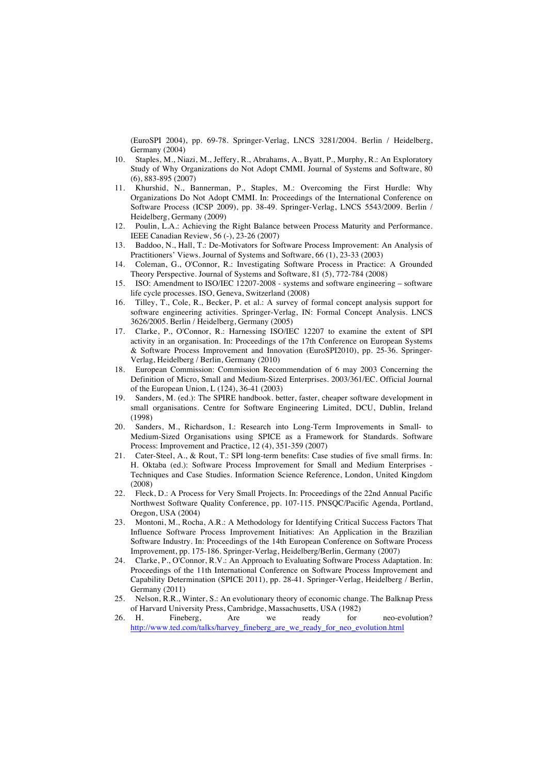(EuroSPI 2004), pp. 69-78. Springer-Verlag, LNCS 3281/2004. Berlin / Heidelberg, Germany (2004)

- 10. Staples, M., Niazi, M., Jeffery, R., Abrahams, A., Byatt, P., Murphy, R.: An Exploratory Study of Why Organizations do Not Adopt CMMI. Journal of Systems and Software, 80 (6), 883-895 (2007)
- 11. Khurshid, N., Bannerman, P., Staples, M.: Overcoming the First Hurdle: Why Organizations Do Not Adopt CMMI. In: Proceedings of the International Conference on Software Process (ICSP 2009), pp. 38-49. Springer-Verlag, LNCS 5543/2009. Berlin / Heidelberg, Germany (2009)
- 12. Poulin, L.A.: Achieving the Right Balance between Process Maturity and Performance. IEEE Canadian Review, 56 (-), 23-26 (2007)
- 13. Baddoo, N., Hall, T.: De-Motivators for Software Process Improvement: An Analysis of Practitioners' Views. Journal of Systems and Software, 66 (1), 23-33 (2003)
- 14. Coleman, G., O'Connor, R.: Investigating Software Process in Practice: A Grounded Theory Perspective. Journal of Systems and Software, 81 (5), 772-784 (2008)
- 15. ISO: Amendment to ISO/IEC 12207-2008 systems and software engineering software life cycle processes. ISO, Geneva, Switzerland (2008)
- 16. Tilley, T., Cole, R., Becker, P. et al.: A survey of formal concept analysis support for software engineering activities. Springer-Verlag, IN: Formal Concept Analysis. LNCS 3626/2005. Berlin / Heidelberg, Germany (2005)
- 17. Clarke, P., O'Connor, R.: Harnessing ISO/IEC 12207 to examine the extent of SPI activity in an organisation. In: Proceedings of the 17th Conference on European Systems & Software Process Improvement and Innovation (EuroSPI2010), pp. 25-36. Springer-Verlag, Heidelberg / Berlin, Germany (2010)
- 18. European Commission: Commission Recommendation of 6 may 2003 Concerning the Definition of Micro, Small and Medium-Sized Enterprises. 2003/361/EC. Official Journal of the European Union, L (124), 36-41 (2003)
- 19. Sanders, M. (ed.): The SPIRE handbook. better, faster, cheaper software development in small organisations. Centre for Software Engineering Limited, DCU, Dublin, Ireland (1998)
- 20. Sanders, M., Richardson, I.: Research into Long-Term Improvements in Small- to Medium-Sized Organisations using SPICE as a Framework for Standards. Software Process: Improvement and Practice, 12 (4), 351-359 (2007)
- 21. Cater-Steel, A., & Rout, T.: SPI long-term benefits: Case studies of five small firms. In: H. Oktaba (ed.): Software Process Improvement for Small and Medium Enterprises - Techniques and Case Studies. Information Science Reference, London, United Kingdom (2008)
- 22. Fleck, D.: A Process for Very Small Projects. In: Proceedings of the 22nd Annual Pacific Northwest Software Quality Conference, pp. 107-115. PNSQC/Pacific Agenda, Portland, Oregon, USA (2004)
- 23. Montoni, M., Rocha, A.R.: A Methodology for Identifying Critical Success Factors That Influence Software Process Improvement Initiatives: An Application in the Brazilian Software Industry. In: Proceedings of the 14th European Conference on Software Process Improvement, pp. 175-186. Springer-Verlag, Heidelberg/Berlin, Germany (2007)
- 24. Clarke, P., O'Connor, R.V.: An Approach to Evaluating Software Process Adaptation. In: Proceedings of the 11th International Conference on Software Process Improvement and Capability Determination (SPICE 2011), pp. 28-41. Springer-Verlag, Heidelberg / Berlin, Germany (2011)
- 25. Nelson, R.R., Winter, S.: An evolutionary theory of economic change. The Balknap Press of Harvard University Press, Cambridge, Massachusetts, USA (1982)
- 26. H. Fineberg, Are we ready for neo-evolution? http://www.ted.com/talks/harvey\_fineberg\_are\_we\_ready\_for\_neo\_evolution.html